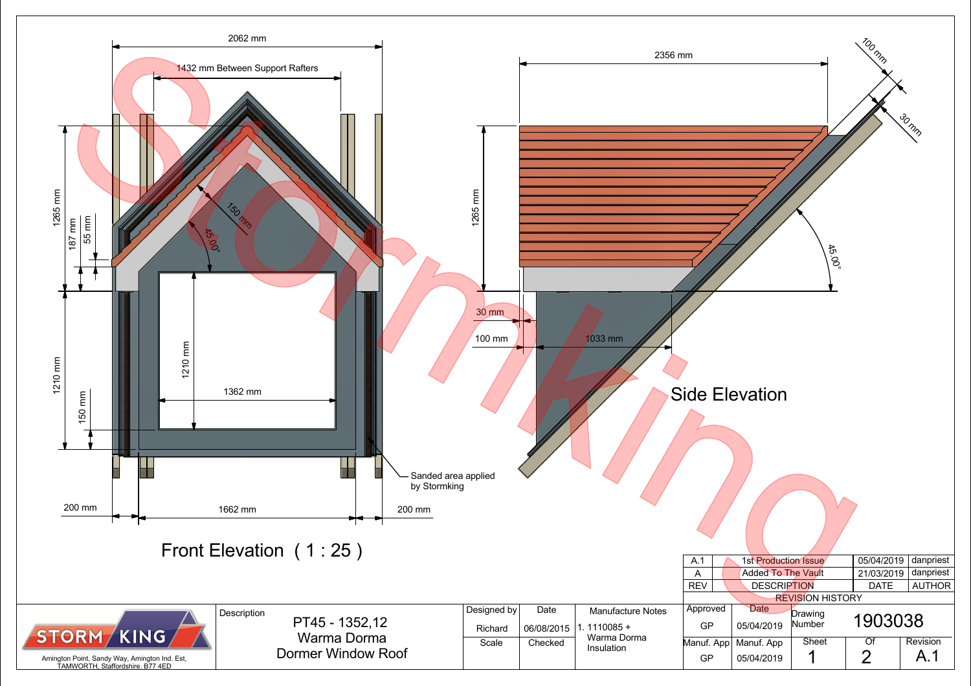